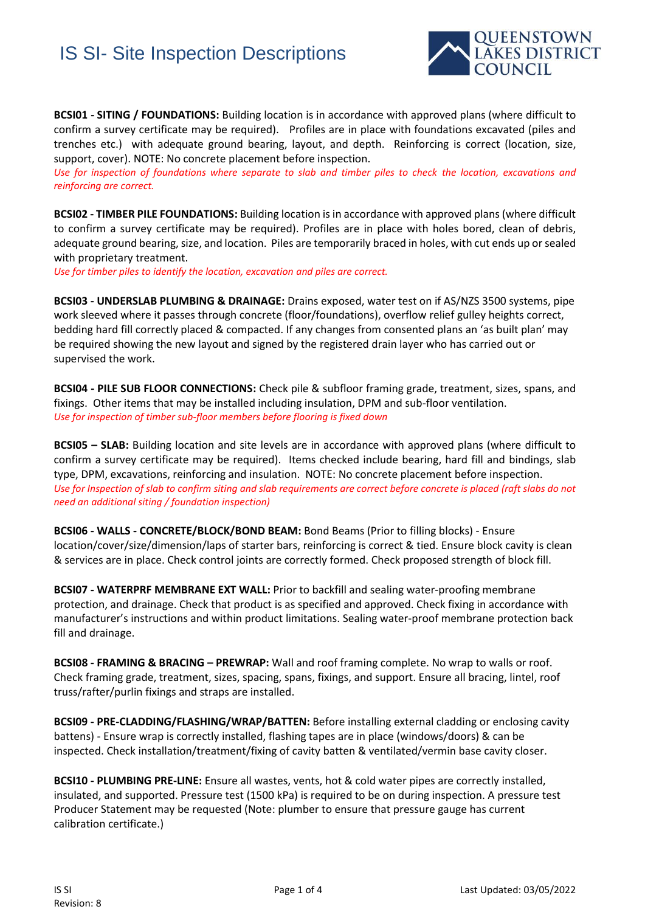## IS SI- Site Inspection Descriptions



**BCSI01 - SITING / FOUNDATIONS:** Building location is in accordance with approved plans (where difficult to confirm a survey certificate may be required). Profiles are in place with foundations excavated (piles and trenches etc.) with adequate ground bearing, layout, and depth. Reinforcing is correct (location, size, support, cover). NOTE: No concrete placement before inspection.

*Use for inspection of foundations where separate to slab and timber piles to check the location, excavations and reinforcing are correct.*

**BCSI02 - TIMBER PILE FOUNDATIONS:** Building location is in accordance with approved plans (where difficult to confirm a survey certificate may be required). Profiles are in place with holes bored, clean of debris, adequate ground bearing, size, and location. Piles are temporarily braced in holes, with cut ends up or sealed with proprietary treatment.

*Use for timber piles to identify the location, excavation and piles are correct.*

**BCSI03 - UNDERSLAB PLUMBING & DRAINAGE:** Drains exposed, water test on if AS/NZS 3500 systems, pipe work sleeved where it passes through concrete (floor/foundations), overflow relief gulley heights correct, bedding hard fill correctly placed & compacted. If any changes from consented plans an 'as built plan' may be required showing the new layout and signed by the registered drain layer who has carried out or supervised the work.

**BCSI04 - PILE SUB FLOOR CONNECTIONS:** Check pile & subfloor framing grade, treatment, sizes, spans, and fixings. Other items that may be installed including insulation, DPM and sub-floor ventilation. *Use for inspection of timber sub-floor members before flooring is fixed down* 

**BCSI05 – SLAB:** Building location and site levels are in accordance with approved plans (where difficult to confirm a survey certificate may be required). Items checked include bearing, hard fill and bindings, slab type, DPM, excavations, reinforcing and insulation. NOTE: No concrete placement before inspection. *Use for Inspection of slab to confirm siting and slab requirements are correct before concrete is placed (raft slabs do not need an additional siting / foundation inspection)*

**BCSI06 - WALLS - CONCRETE/BLOCK/BOND BEAM:** Bond Beams (Prior to filling blocks) - Ensure location/cover/size/dimension/laps of starter bars, reinforcing is correct & tied. Ensure block cavity is clean & services are in place. Check control joints are correctly formed. Check proposed strength of block fill.

**BCSI07 - WATERPRF MEMBRANE EXT WALL:** Prior to backfill and sealing water-proofing membrane protection, and drainage. Check that product is as specified and approved. Check fixing in accordance with manufacturer's instructions and within product limitations. Sealing water-proof membrane protection back fill and drainage.

**BCSI08 - FRAMING & BRACING – PREWRAP:** Wall and roof framing complete. No wrap to walls or roof. Check framing grade, treatment, sizes, spacing, spans, fixings, and support. Ensure all bracing, lintel, roof truss/rafter/purlin fixings and straps are installed.

**BCSI09 - PRE-CLADDING/FLASHING/WRAP/BATTEN:** Before installing external cladding or enclosing cavity battens) - Ensure wrap is correctly installed, flashing tapes are in place (windows/doors) & can be inspected. Check installation/treatment/fixing of cavity batten & ventilated/vermin base cavity closer.

**BCSI10 - PLUMBING PRE-LINE:** Ensure all wastes, vents, hot & cold water pipes are correctly installed, insulated, and supported. Pressure test (1500 kPa) is required to be on during inspection. A pressure test Producer Statement may be requested (Note: plumber to ensure that pressure gauge has current calibration certificate.)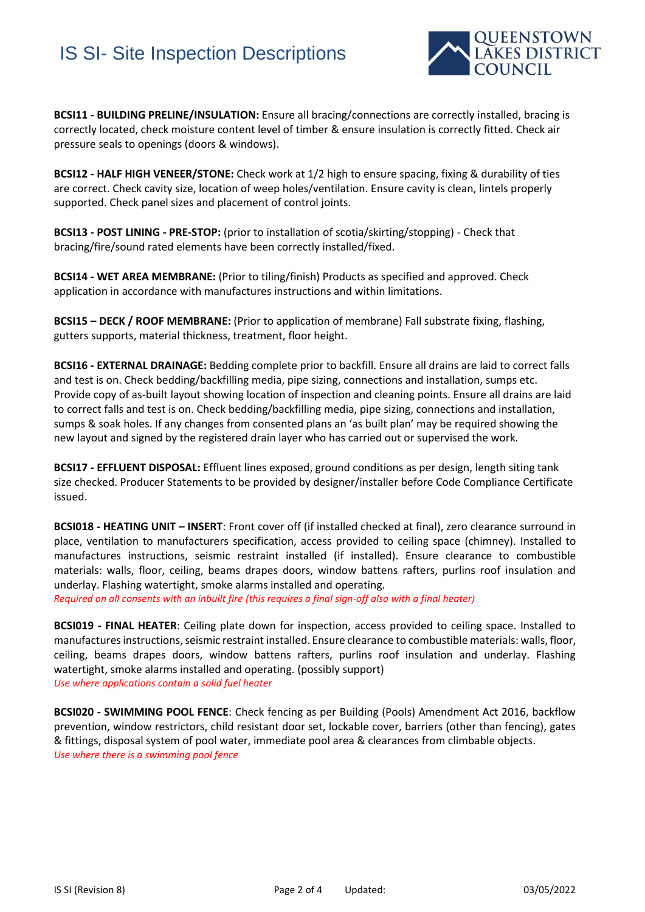## IS SI- Site Inspection Descriptions



**BCSI11 - BUILDING PRELINE/INSULATION:** Ensure all bracing/connections are correctly installed, bracing is correctly located, check moisture content level of timber & ensure insulation is correctly fitted. Check air pressure seals to openings (doors & windows).

**BCSI12 - HALF HIGH VENEER/STONE:** Check work at 1/2 high to ensure spacing, fixing & durability of ties are correct. Check cavity size, location of weep holes/ventilation. Ensure cavity is clean, lintels properly supported. Check panel sizes and placement of control joints.

**BCSI13 - POST LINING - PRE-STOP:** (prior to installation of scotia/skirting/stopping) - Check that bracing/fire/sound rated elements have been correctly installed/fixed.

**BCSI14 - WET AREA MEMBRANE:** (Prior to tiling/finish) Products as specified and approved. Check application in accordance with manufactures instructions and within limitations.

**BCSI15 – DECK / ROOF MEMBRANE:** (Prior to application of membrane) Fall substrate fixing, flashing, gutters supports, material thickness, treatment, floor height.

**BCSI16 - EXTERNAL DRAINAGE:** Bedding complete prior to backfill. Ensure all drains are laid to correct falls and test is on. Check bedding/backfilling media, pipe sizing, connections and installation, sumps etc. Provide copy of as-built layout showing location of inspection and cleaning points. Ensure all drains are laid to correct falls and test is on. Check bedding/backfilling media, pipe sizing, connections and installation, sumps & soak holes. If any changes from consented plans an 'as built plan' may be required showing the new layout and signed by the registered drain layer who has carried out or supervised the work.

**BCSI17 - EFFLUENT DISPOSAL:** Effluent lines exposed, ground conditions as per design, length siting tank size checked. Producer Statements to be provided by designer/installer before Code Compliance Certificate issued.

**BCSI018 - HEATING UNIT – INSERT**: Front cover off (if installed checked at final), zero clearance surround in place, ventilation to manufacturers specification, access provided to ceiling space (chimney). Installed to manufactures instructions, seismic restraint installed (if installed). Ensure clearance to combustible materials: walls, floor, ceiling, beams drapes doors, window battens rafters, purlins roof insulation and underlay. Flashing watertight, smoke alarms installed and operating.

*Required on all consents with an inbuilt fire (this requires a final sign-off also with a final heater)* 

**BCSI019 - FINAL HEATER**: Ceiling plate down for inspection, access provided to ceiling space. Installed to manufactures instructions, seismic restraint installed. Ensure clearance to combustible materials: walls, floor, ceiling, beams drapes doors, window battens rafters, purlins roof insulation and underlay. Flashing watertight, smoke alarms installed and operating. (possibly support) *Use where applications contain a solid fuel heater* 

**BCSI020 - SWIMMING POOL FENCE**: Check fencing as per Building (Pools) Amendment Act 2016, backflow prevention, window restrictors, child resistant door set, lockable cover, barriers (other than fencing), gates & fittings, disposal system of pool water, immediate pool area & clearances from climbable objects. *Use where there is a swimming pool fence*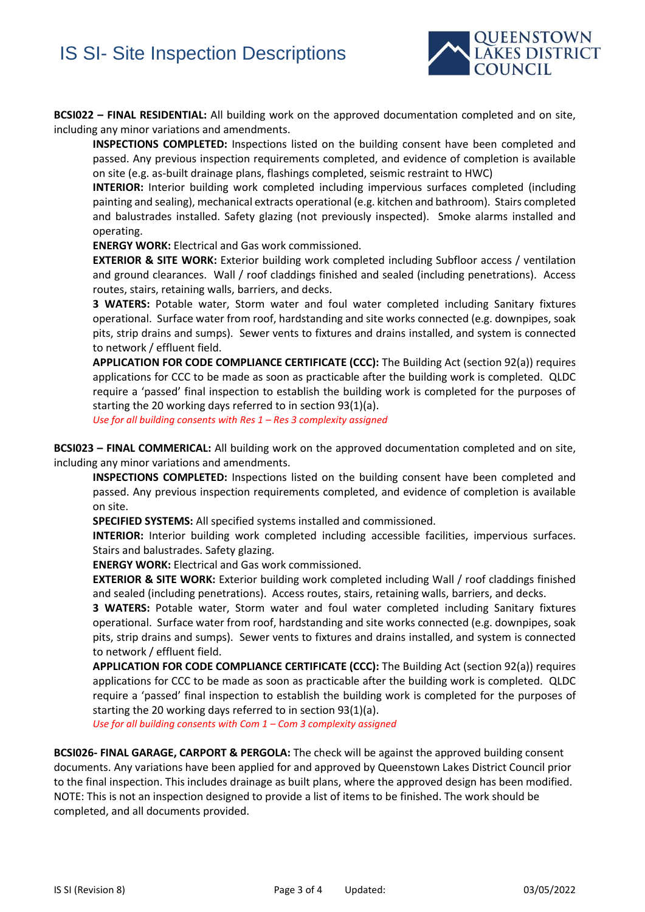

**BCSI022 – FINAL RESIDENTIAL:** All building work on the approved documentation completed and on site, including any minor variations and amendments.

**INSPECTIONS COMPLETED:** Inspections listed on the building consent have been completed and passed. Any previous inspection requirements completed, and evidence of completion is available on site (e.g. as-built drainage plans, flashings completed, seismic restraint to HWC)

**INTERIOR:** Interior building work completed including impervious surfaces completed (including painting and sealing), mechanical extracts operational (e.g. kitchen and bathroom). Stairs completed and balustrades installed. Safety glazing (not previously inspected). Smoke alarms installed and operating.

**ENERGY WORK:** Electrical and Gas work commissioned.

**EXTERIOR & SITE WORK:** Exterior building work completed including Subfloor access / ventilation and ground clearances. Wall / roof claddings finished and sealed (including penetrations). Access routes, stairs, retaining walls, barriers, and decks.

**3 WATERS:** Potable water, Storm water and foul water completed including Sanitary fixtures operational. Surface water from roof, hardstanding and site works connected (e.g. downpipes, soak pits, strip drains and sumps). Sewer vents to fixtures and drains installed, and system is connected to network / effluent field.

**APPLICATION FOR CODE COMPLIANCE CERTIFICATE (CCC):** The Building Act (section 92(a)) requires applications for CCC to be made as soon as practicable after the building work is completed. QLDC require a 'passed' final inspection to establish the building work is completed for the purposes of starting the 20 working days referred to in section 93(1)(a).

*Use for all building consents with Res 1 – Res 3 complexity assigned* 

**BCSI023 – FINAL COMMERICAL:** All building work on the approved documentation completed and on site, including any minor variations and amendments.

**INSPECTIONS COMPLETED:** Inspections listed on the building consent have been completed and passed. Any previous inspection requirements completed, and evidence of completion is available on site.

**SPECIFIED SYSTEMS:** All specified systems installed and commissioned.

**INTERIOR:** Interior building work completed including accessible facilities, impervious surfaces. Stairs and balustrades. Safety glazing.

**ENERGY WORK:** Electrical and Gas work commissioned.

**EXTERIOR & SITE WORK:** Exterior building work completed including Wall / roof claddings finished and sealed (including penetrations). Access routes, stairs, retaining walls, barriers, and decks.

**3 WATERS:** Potable water, Storm water and foul water completed including Sanitary fixtures operational. Surface water from roof, hardstanding and site works connected (e.g. downpipes, soak pits, strip drains and sumps). Sewer vents to fixtures and drains installed, and system is connected to network / effluent field.

**APPLICATION FOR CODE COMPLIANCE CERTIFICATE (CCC):** The Building Act (section 92(a)) requires applications for CCC to be made as soon as practicable after the building work is completed. QLDC require a 'passed' final inspection to establish the building work is completed for the purposes of starting the 20 working days referred to in section 93(1)(a).

*Use for all building consents with Com 1 – Com 3 complexity assigned* 

**BCSI026- FINAL GARAGE, CARPORT & PERGOLA:** The check will be against the approved building consent documents. Any variations have been applied for and approved by Queenstown Lakes District Council prior to the final inspection. This includes drainage as built plans, where the approved design has been modified. NOTE: This is not an inspection designed to provide a list of items to be finished. The work should be completed, and all documents provided.